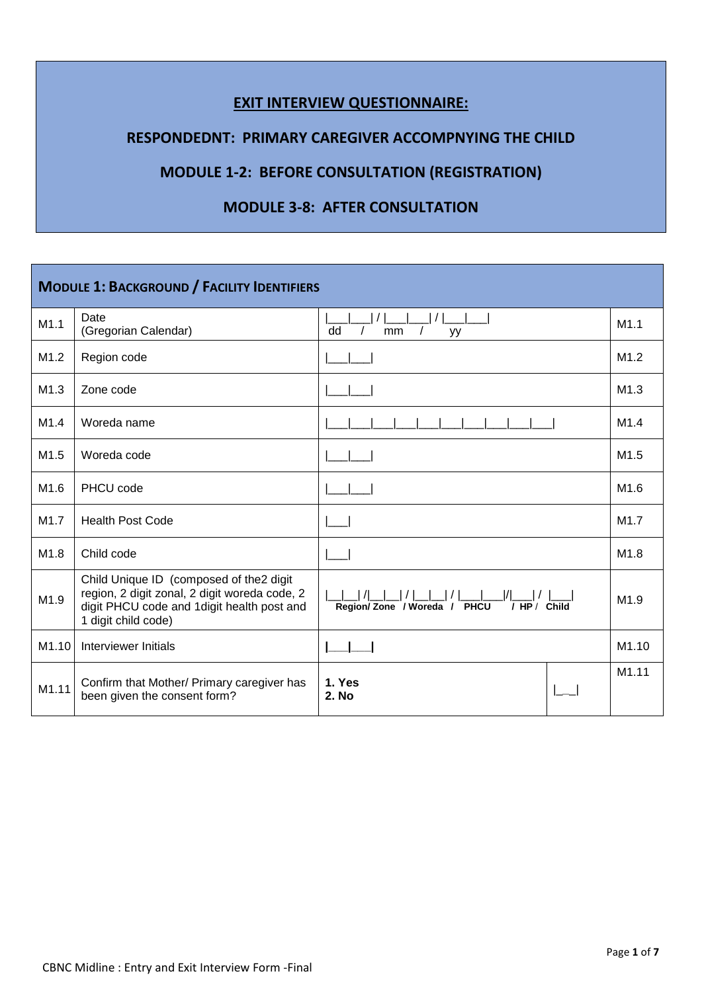## **EXIT INTERVIEW QUESTIONNAIRE:**

### **RESPONDEDNT: PRIMARY CAREGIVER ACCOMPNYING THE CHILD**

# **MODULE 1-2: BEFORE CONSULTATION (REGISTRATION)**

## **MODULE 3-8: AFTER CONSULTATION**

| <b>MODULE 1: BACKGROUND / FACILITY IDENTIFIERS</b> |                                                                                                                                                               |                                             |                  |                   |  |  |  |
|----------------------------------------------------|---------------------------------------------------------------------------------------------------------------------------------------------------------------|---------------------------------------------|------------------|-------------------|--|--|--|
| M1.1                                               | Date<br>(Gregorian Calendar)                                                                                                                                  | dd<br>mm<br>yy                              |                  | M1.1              |  |  |  |
| M1.2                                               | Region code                                                                                                                                                   |                                             |                  | M1.2              |  |  |  |
| M1.3                                               | Zone code                                                                                                                                                     |                                             |                  | M1.3              |  |  |  |
| M1.4                                               | Woreda name                                                                                                                                                   |                                             | M1.4             |                   |  |  |  |
| M1.5                                               | Woreda code                                                                                                                                                   |                                             |                  | M <sub>1.5</sub>  |  |  |  |
| M1.6                                               | PHCU code                                                                                                                                                     |                                             |                  | M <sub>1.6</sub>  |  |  |  |
| M1.7                                               | <b>Health Post Code</b>                                                                                                                                       |                                             |                  |                   |  |  |  |
| M1.8                                               | Child code                                                                                                                                                    |                                             |                  | M <sub>1.8</sub>  |  |  |  |
| M1.9                                               | Child Unique ID (composed of the2 digit<br>region, 2 digit zonal, 2 digit woreda code, 2<br>digit PHCU code and 1digit health post and<br>1 digit child code) | / HP / Child<br>Region/Zone / Woreda / PHCU | M <sub>1.9</sub> |                   |  |  |  |
| M1.10                                              | Interviewer Initials                                                                                                                                          |                                             |                  | M1.10             |  |  |  |
| M1.11                                              | Confirm that Mother/ Primary caregiver has<br>been given the consent form?                                                                                    | 1. Yes<br>2. No                             |                  | M <sub>1.11</sub> |  |  |  |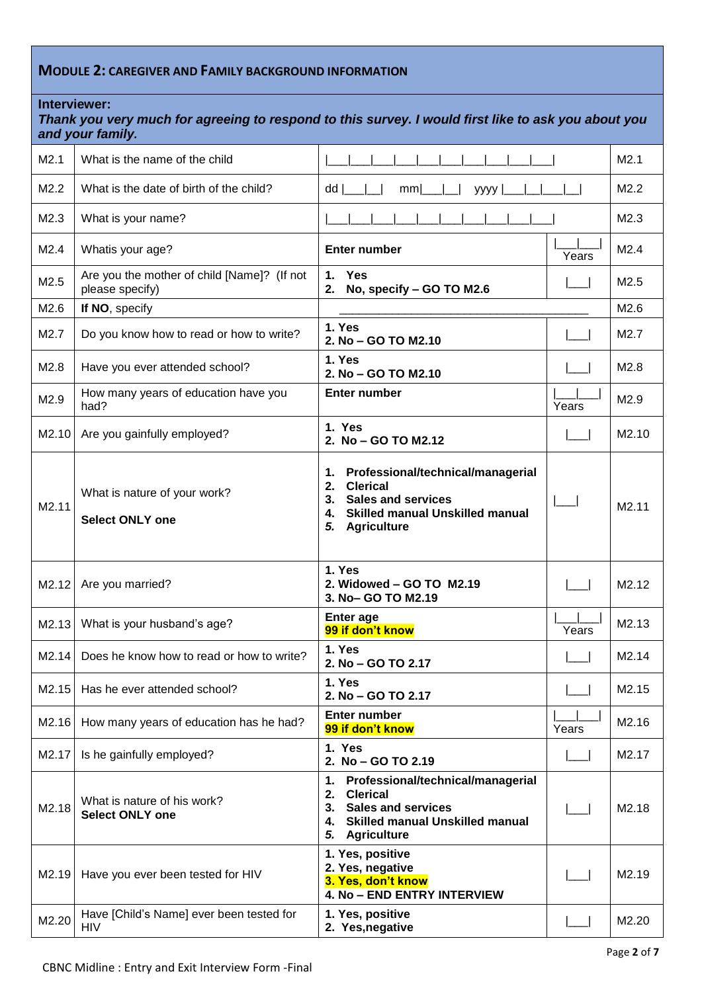# **MODULE 2: CAREGIVER AND FAMILY BACKGROUND INFORMATION**

#### **Interviewer:**

|                   | Thank you very much for agreeing to respond to this survey. I would first like to ask you about you<br>and your family. |                                                                                                                                                                                 |       |                   |  |
|-------------------|-------------------------------------------------------------------------------------------------------------------------|---------------------------------------------------------------------------------------------------------------------------------------------------------------------------------|-------|-------------------|--|
| M2.1              | What is the name of the child                                                                                           |                                                                                                                                                                                 |       | M2.1              |  |
| M2.2              | What is the date of birth of the child?                                                                                 | $dd \mid$<br>mm<br>yyyy                                                                                                                                                         |       |                   |  |
| M2.3              | What is your name?                                                                                                      |                                                                                                                                                                                 |       | M2.3              |  |
| M2.4              | Whatis your age?                                                                                                        | <b>Enter number</b>                                                                                                                                                             | Years | M2.4              |  |
| M2.5              | Are you the mother of child [Name]? (If not<br>please specify)                                                          | Yes<br>1.<br>2.<br>No, specify - GO TO M2.6                                                                                                                                     |       | M2.5              |  |
| M2.6              | If NO, specify                                                                                                          |                                                                                                                                                                                 |       | M2.6              |  |
| M2.7              | Do you know how to read or how to write?                                                                                | 1. Yes<br>2. No - GO TO M2.10                                                                                                                                                   |       | M2.7              |  |
| M2.8              | Have you ever attended school?                                                                                          | 1. Yes<br>2. No - GO TO M2.10                                                                                                                                                   |       | M2.8              |  |
| M2.9              | How many years of education have you<br>had?                                                                            | <b>Enter number</b>                                                                                                                                                             | Years | M2.9              |  |
| M2.10             | Are you gainfully employed?                                                                                             | 1. Yes<br>2. No - GO TO M2.12                                                                                                                                                   |       | M2.10             |  |
| M2.11             | What is nature of your work?<br><b>Select ONLY one</b>                                                                  | Professional/technical/managerial<br>1.<br><b>Clerical</b><br>2.<br><b>Sales and services</b><br>3.<br><b>Skilled manual Unskilled manual</b><br>4.<br>5. Agriculture           |       | M <sub>2.11</sub> |  |
| M2.12             | Are you married?                                                                                                        | 1. Yes<br>2. Widowed - GO TO M2.19<br>3. No- GO TO M2.19                                                                                                                        |       | M2.12             |  |
| M2.13             | What is your husband's age?                                                                                             | <b>Enter age</b><br>99 if don't know                                                                                                                                            | Years | M2.13             |  |
| M2.14             | Does he know how to read or how to write?                                                                               | 1. Yes<br>2. No - GO TO 2.17                                                                                                                                                    |       | M2.14             |  |
| M <sub>2.15</sub> | Has he ever attended school?                                                                                            | 1. Yes<br>2. No - GO TO 2.17                                                                                                                                                    |       | M <sub>2.15</sub> |  |
| M2.16             | How many years of education has he had?                                                                                 | <b>Enter number</b><br>99 if don't know                                                                                                                                         | Years | M2.16             |  |
| M2.17             | Is he gainfully employed?                                                                                               | 1. Yes<br>2. No - GO TO 2.19                                                                                                                                                    |       | M2.17             |  |
| M2.18             | What is nature of his work?<br><b>Select ONLY one</b>                                                                   | 1.<br>Professional/technical/managerial<br>2.<br><b>Clerical</b><br><b>Sales and services</b><br>3.<br><b>Skilled manual Unskilled manual</b><br>4.<br><b>Agriculture</b><br>5. |       | M <sub>2.18</sub> |  |
| M2.19             | Have you ever been tested for HIV                                                                                       | 1. Yes, positive<br>2. Yes, negative<br>3. Yes, don't know<br>4. No - END ENTRY INTERVIEW                                                                                       |       | M2.19             |  |
| M2.20             | Have [Child's Name] ever been tested for<br><b>HIV</b>                                                                  | 1. Yes, positive<br>2. Yes, negative                                                                                                                                            |       | M2.20             |  |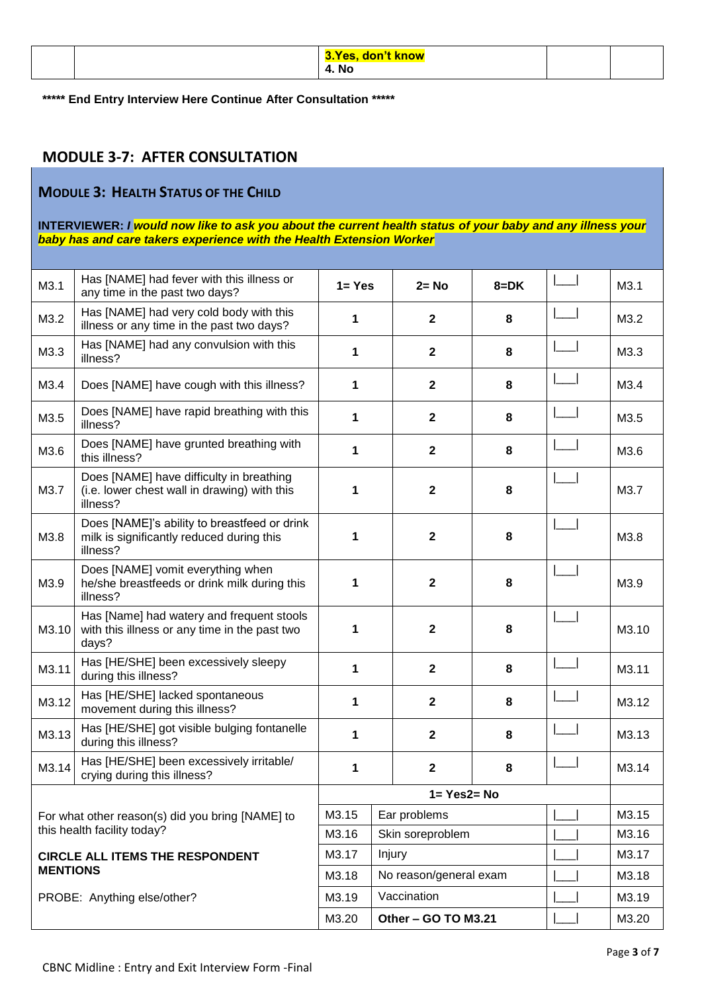|  | <b>3.Yes.</b><br>, don'<br><u>'t know</u> |  |
|--|-------------------------------------------|--|
|  | 4. No                                     |  |

**\*\*\*\*\* End Entry Interview Here Continue After Consultation \*\*\*\*\***

### **MODULE 3-7: AFTER CONSULTATION**

#### **MODULE 3: HEALTH STATUS OF THE CHILD**

#### **INTERVIEWER:** *I would now like to ask you about the current health status of your baby and any illness your baby has and care takers experience with the Health Extension Worker*

| M3.1            | Has [NAME] had fever with this illness or<br>any time in the past two days?                           | $1 = Yes$ |        | $2 = No$                     | $8 = DK$ | M3.1  |
|-----------------|-------------------------------------------------------------------------------------------------------|-----------|--------|------------------------------|----------|-------|
| M3.2            | Has [NAME] had very cold body with this<br>illness or any time in the past two days?                  | 1         |        | $\mathbf{2}$                 | 8        | M3.2  |
| M3.3            | Has [NAME] had any convulsion with this<br>illness?                                                   | 1         |        | $\mathbf 2$                  | 8        | M3.3  |
| M3.4            | Does [NAME] have cough with this illness?                                                             | 1         |        | $\mathbf 2$                  | 8        | M3.4  |
| M3.5            | Does [NAME] have rapid breathing with this<br>illness?                                                | 1         |        | $\mathbf 2$                  | 8        | M3.5  |
| M3.6            | Does [NAME] have grunted breathing with<br>this illness?                                              | 1         |        | $\mathbf{2}$                 | 8        | M3.6  |
| M3.7            | Does [NAME] have difficulty in breathing<br>(i.e. lower chest wall in drawing) with this<br>illness?  | 1         |        | 2                            | 8        | M3.7  |
| M3.8            | Does [NAME]'s ability to breastfeed or drink<br>milk is significantly reduced during this<br>illness? | 1         |        | $\overline{\mathbf{2}}$<br>8 |          | M3.8  |
| M3.9            | Does [NAME] vomit everything when<br>he/she breastfeeds or drink milk during this<br>illness?         | 1         |        | $\overline{\mathbf{2}}$      | 8        | M3.9  |
| M3.10           | Has [Name] had watery and frequent stools<br>with this illness or any time in the past two<br>days?   | 1         |        | $\mathbf 2$                  | 8        | M3.10 |
| M3.11           | Has [HE/SHE] been excessively sleepy<br>during this illness?                                          | 1         |        | $\overline{\mathbf{2}}$      | 8        | M3.11 |
| M3.12           | Has [HE/SHE] lacked spontaneous<br>movement during this illness?                                      | 1         |        | $\overline{\mathbf{2}}$      | 8        | M3.12 |
| M3.13           | Has [HE/SHE] got visible bulging fontanelle<br>during this illness?                                   | 1         |        | $\mathbf 2$                  | 8        | M3.13 |
| M3.14           | Has [HE/SHE] been excessively irritable/<br>crying during this illness?                               | 1         |        | $\mathbf 2$                  | 8        | M3.14 |
|                 |                                                                                                       |           |        | 1= Yes2= No                  |          |       |
|                 | For what other reason(s) did you bring [NAME] to                                                      | M3.15     |        | Ear problems                 |          | M3.15 |
|                 | this health facility today?                                                                           | M3.16     |        | Skin soreproblem             |          | M3.16 |
|                 | <b>CIRCLE ALL ITEMS THE RESPONDENT</b>                                                                | M3.17     | Injury |                              |          | M3.17 |
| <b>MENTIONS</b> |                                                                                                       | M3.18     |        | No reason/general exam       |          | M3.18 |
|                 | PROBE: Anything else/other?                                                                           | M3.19     |        | Vaccination                  |          | M3.19 |
|                 |                                                                                                       | M3.20     |        | Other - GO TO M3.21          |          | M3.20 |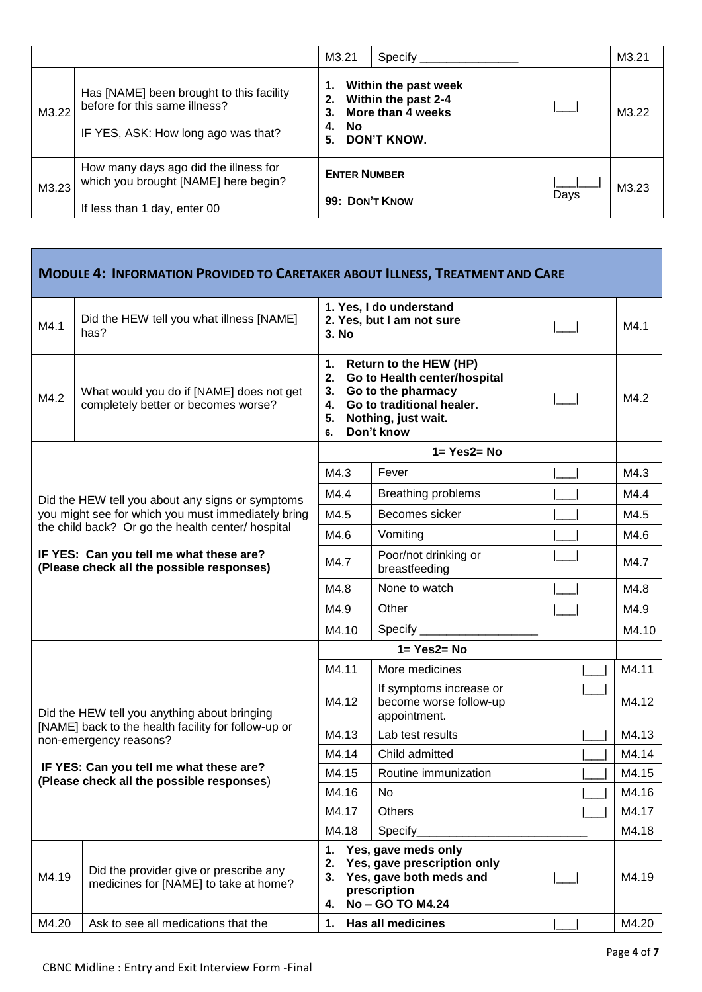|       |                                                                                                                  | M3.21                                 | Specify                                                                         |      | M3.21 |
|-------|------------------------------------------------------------------------------------------------------------------|---------------------------------------|---------------------------------------------------------------------------------|------|-------|
| M3.22 | Has [NAME] been brought to this facility<br>before for this same illness?<br>IF YES, ASK: How long ago was that? | 2.<br>3.<br><b>No</b><br>4.<br>5.     | Within the past week<br>Within the past 2-4<br>More than 4 weeks<br>DON'T KNOW. |      | M3.22 |
| M3.23 | How many days ago did the illness for<br>which you brought [NAME] here begin?<br>If less than 1 day, enter 00    | <b>ENTER NUMBER</b><br>99: DON'T KNOW |                                                                                 | Days | M3.23 |

|                                                                                      | <b>MODULE 4: INFORMATION PROVIDED TO CARETAKER ABOUT ILLNESS, TREATMENT AND CARE</b> |                                  |                                                                                                                                                       |       |
|--------------------------------------------------------------------------------------|--------------------------------------------------------------------------------------|----------------------------------|-------------------------------------------------------------------------------------------------------------------------------------------------------|-------|
| M4.1                                                                                 | Did the HEW tell you what illness [NAME]<br>has?                                     | 3. No                            | 1. Yes, I do understand<br>2. Yes, but I am not sure                                                                                                  | M4.1  |
| M4.2                                                                                 | What would you do if [NAME] does not get<br>completely better or becomes worse?      | 1.<br>2.<br>3.<br>4.<br>5.<br>6. | <b>Return to the HEW (HP)</b><br>Go to Health center/hospital<br>Go to the pharmacy<br>Go to traditional healer.<br>Nothing, just wait.<br>Don't know | M4.2  |
|                                                                                      |                                                                                      |                                  | $1 = Yes2 = No$                                                                                                                                       |       |
|                                                                                      |                                                                                      | M4.3                             | Fever                                                                                                                                                 | M4.3  |
|                                                                                      | Did the HEW tell you about any signs or symptoms                                     | M4.4                             | <b>Breathing problems</b>                                                                                                                             | M4.4  |
|                                                                                      | you might see for which you must immediately bring                                   | M4.5                             | Becomes sicker                                                                                                                                        | M4.5  |
|                                                                                      | the child back? Or go the health center/ hospital                                    | M4.6                             | Vomiting                                                                                                                                              | M4.6  |
| IF YES: Can you tell me what these are?<br>(Please check all the possible responses) |                                                                                      | M4.7                             | Poor/not drinking or<br>breastfeeding                                                                                                                 | M4.7  |
|                                                                                      |                                                                                      | M4.8                             | None to watch                                                                                                                                         | M4.8  |
|                                                                                      |                                                                                      | M4.9                             | Other                                                                                                                                                 | M4.9  |
|                                                                                      |                                                                                      | M4.10                            | Specify                                                                                                                                               | M4.10 |
|                                                                                      |                                                                                      |                                  | $1 = Yes2 = No$                                                                                                                                       |       |
|                                                                                      |                                                                                      | M4.11                            | More medicines                                                                                                                                        | M4.11 |
|                                                                                      | Did the HEW tell you anything about bringing                                         | M4.12                            | If symptoms increase or<br>become worse follow-up<br>appointment.                                                                                     | M4.12 |
|                                                                                      | [NAME] back to the health facility for follow-up or<br>non-emergency reasons?        | M4.13                            | Lab test results                                                                                                                                      | M4.13 |
|                                                                                      |                                                                                      | M4.14                            | Child admitted                                                                                                                                        | M4.14 |
|                                                                                      | IF YES: Can you tell me what these are?<br>(Please check all the possible responses) | M4.15                            | Routine immunization                                                                                                                                  | M4.15 |
|                                                                                      |                                                                                      | M4.16                            | No                                                                                                                                                    | M4.16 |
|                                                                                      |                                                                                      | M4.17                            | <b>Others</b>                                                                                                                                         | M4.17 |
|                                                                                      |                                                                                      | M4.18                            | Specify                                                                                                                                               | M4.18 |
| M4.19                                                                                | Did the provider give or prescribe any<br>medicines for [NAME] to take at home?      | 1.<br>2.<br>3.<br>4.             | Yes, gave meds only<br>Yes, gave prescription only<br>Yes, gave both meds and<br>prescription<br>No - GO TO M4.24                                     | M4.19 |
| M4.20                                                                                | Ask to see all medications that the                                                  | $\mathbf{1}$ .                   | <b>Has all medicines</b>                                                                                                                              | M4.20 |

Г

ī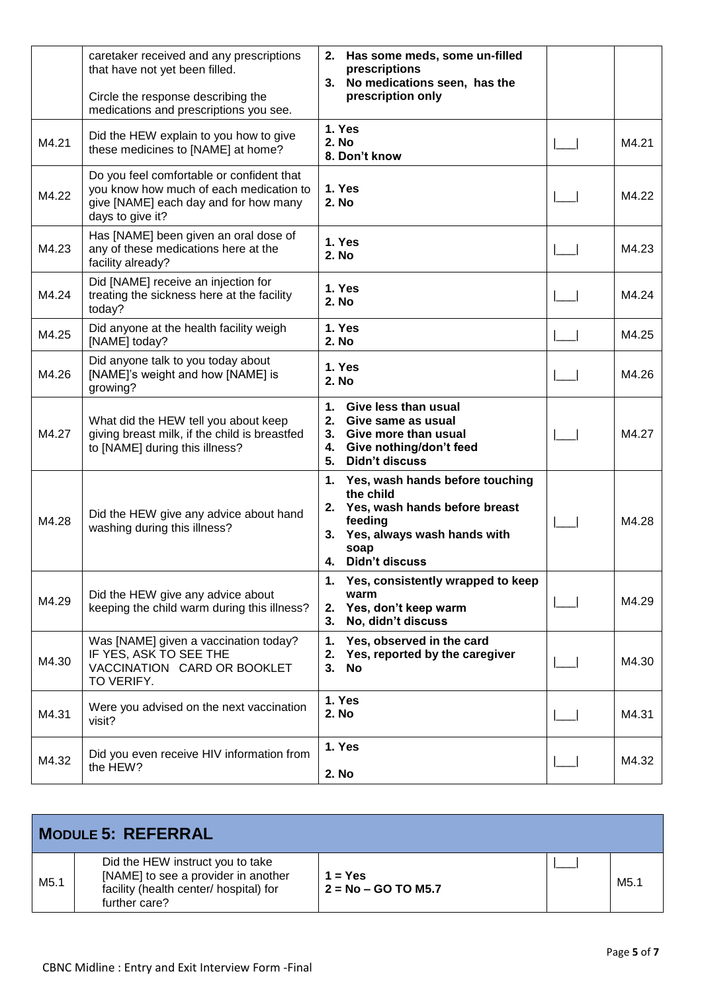|       | caretaker received and any prescriptions<br>that have not yet been filled.<br>Circle the response describing the<br>medications and prescriptions you see. | 2. Has some meds, some un-filled<br>prescriptions<br>3. No medications seen, has the<br>prescription only                                                     |       |
|-------|------------------------------------------------------------------------------------------------------------------------------------------------------------|---------------------------------------------------------------------------------------------------------------------------------------------------------------|-------|
| M4.21 | Did the HEW explain to you how to give<br>these medicines to [NAME] at home?                                                                               | 1. Yes<br>2. No<br>8. Don't know                                                                                                                              | M4.21 |
| M4.22 | Do you feel comfortable or confident that<br>you know how much of each medication to<br>give [NAME] each day and for how many<br>days to give it?          | 1. Yes<br>2. No                                                                                                                                               | M4.22 |
| M4.23 | Has [NAME] been given an oral dose of<br>any of these medications here at the<br>facility already?                                                         | 1. Yes<br>2. No                                                                                                                                               | M4.23 |
| M4.24 | Did [NAME] receive an injection for<br>treating the sickness here at the facility<br>today?                                                                | 1. Yes<br>2. No                                                                                                                                               | M4.24 |
| M4.25 | Did anyone at the health facility weigh<br>[NAME] today?                                                                                                   | 1. Yes<br>2. No                                                                                                                                               | M4.25 |
| M4.26 | Did anyone talk to you today about<br>[NAME]'s weight and how [NAME] is<br>growing?                                                                        | 1. Yes<br>2. No                                                                                                                                               | M4.26 |
| M4.27 | What did the HEW tell you about keep<br>giving breast milk, if the child is breastfed<br>to [NAME] during this illness?                                    | 1.<br>Give less than usual<br>2.<br>Give same as usual<br>Give more than usual<br>3.<br>Give nothing/don't feed<br>4.<br><b>Didn't discuss</b><br>5.          | M4.27 |
| M4.28 | Did the HEW give any advice about hand<br>washing during this illness?                                                                                     | 1. Yes, wash hands before touching<br>the child<br>2. Yes, wash hands before breast<br>feeding<br>3. Yes, always wash hands with<br>soap<br>4. Didn't discuss | M4.28 |
| M4.29 | Did the HEW give any advice about<br>keeping the child warm during this illness?                                                                           | 1. Yes, consistently wrapped to keep<br>warm<br>2. Yes, don't keep warm<br>No, didn't discuss<br>3.                                                           | M4.29 |
| M4.30 | Was [NAME] given a vaccination today?<br>IF YES, ASK TO SEE THE<br>VACCINATION CARD OR BOOKLET<br>TO VERIFY.                                               | Yes, observed in the card<br>1.<br>2. Yes, reported by the caregiver<br>3. No                                                                                 | M4.30 |
| M4.31 | Were you advised on the next vaccination<br>visit?                                                                                                         | 1. Yes<br>2. No                                                                                                                                               | M4.31 |
| M4.32 | Did you even receive HIV information from<br>the HEW?                                                                                                      | 1. Yes<br>2. No                                                                                                                                               | M4.32 |

| <b>MODULE 5: REFERRAL</b> |                                                                                                                                    |                                    |  |                  |  |  |  |
|---------------------------|------------------------------------------------------------------------------------------------------------------------------------|------------------------------------|--|------------------|--|--|--|
| M5.1                      | Did the HEW instruct you to take<br>[NAME] to see a provider in another<br>facility (health center/ hospital) for<br>further care? | $1 = Yes$<br>$2 = No - GO TO M5.7$ |  | M <sub>5.1</sub> |  |  |  |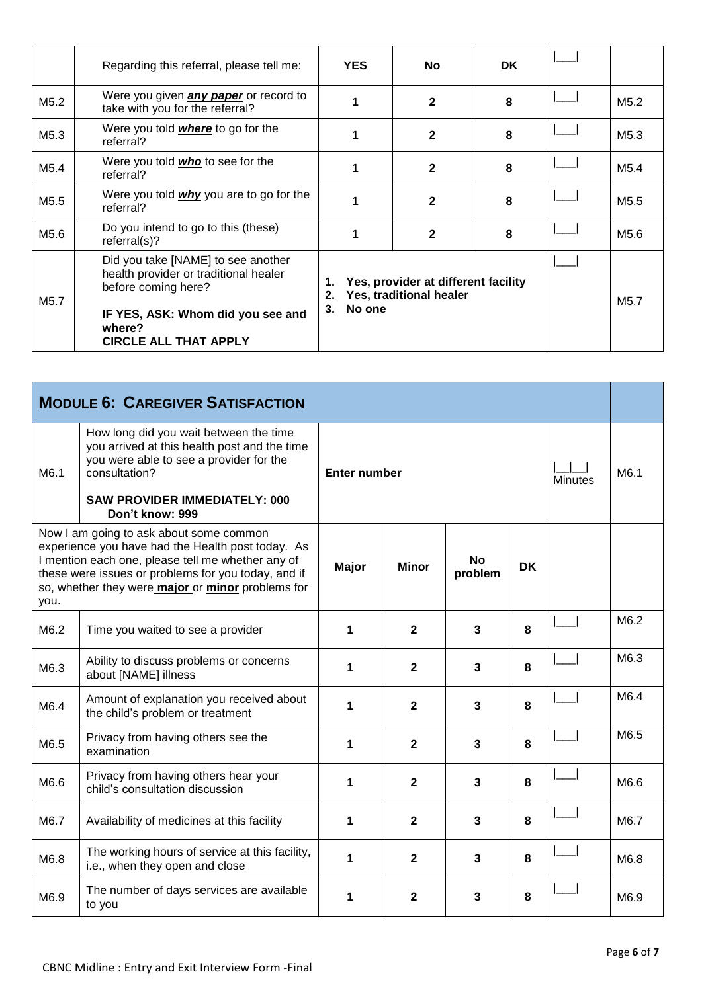|                  | Regarding this referral, please tell me:                                                                                                                                          |                | <b>YES</b>                                                               | <b>No</b>    | <b>DK</b> |                  |
|------------------|-----------------------------------------------------------------------------------------------------------------------------------------------------------------------------------|----------------|--------------------------------------------------------------------------|--------------|-----------|------------------|
| M5.2             | Were you given <b>any paper</b> or record to<br>take with you for the referral?                                                                                                   |                | 1                                                                        | $\mathbf{2}$ | 8         | M <sub>5.2</sub> |
| M5.3             | Were you told <i>where</i> to go for the<br>referral?                                                                                                                             |                | 1                                                                        | $\mathbf{2}$ | 8         | M5.3             |
| M <sub>5.4</sub> | Were you told <i>who</i> to see for the<br>referral?                                                                                                                              |                | 1                                                                        | $\mathbf{2}$ | 8         | M5.4             |
| M5.5             | Were you told <i>why</i> you are to go for the<br>referral?                                                                                                                       |                | 1                                                                        | $\mathbf{2}$ | 8         | M <sub>5.5</sub> |
| M5.6             | Do you intend to go to this (these)<br>referral(s)?                                                                                                                               |                | 1                                                                        | $\mathbf{2}$ | 8         | M <sub>5.6</sub> |
| M5.7             | Did you take [NAME] to see another<br>health provider or traditional healer<br>before coming here?<br>IF YES, ASK: Whom did you see and<br>where?<br><b>CIRCLE ALL THAT APPLY</b> | 1.<br>2.<br>3. | Yes, provider at different facility<br>Yes, traditional healer<br>No one |              |           | M <sub>5.7</sub> |

| <b>MODULE 6: CAREGIVER SATISFACTION</b> |                                                                                                                                                                                                                                                               |                     |                |                         |           |  |      |
|-----------------------------------------|---------------------------------------------------------------------------------------------------------------------------------------------------------------------------------------------------------------------------------------------------------------|---------------------|----------------|-------------------------|-----------|--|------|
| M6.1                                    | How long did you wait between the time<br>you arrived at this health post and the time<br>you were able to see a provider for the<br>consultation?<br><b>SAW PROVIDER IMMEDIATELY: 000</b>                                                                    | <b>Enter number</b> |                | <b>Minutes</b>          | M6.1      |  |      |
|                                         | Don't know: 999                                                                                                                                                                                                                                               |                     |                |                         |           |  |      |
| you.                                    | Now I am going to ask about some common<br>experience you have had the Health post today. As<br>I mention each one, please tell me whether any of<br>these were issues or problems for you today, and if<br>so, whether they were major or minor problems for | <b>Major</b>        | <b>Minor</b>   | <b>No</b><br>problem    | <b>DK</b> |  |      |
| M6.2                                    | Time you waited to see a provider                                                                                                                                                                                                                             | 1                   | $\mathbf{2}$   | $\overline{3}$          | 8         |  | M6.2 |
| M6.3                                    | Ability to discuss problems or concerns<br>about [NAME] illness                                                                                                                                                                                               | 1                   | $\mathbf{2}$   | $\overline{\mathbf{3}}$ | 8         |  | M6.3 |
| M6.4                                    | Amount of explanation you received about<br>the child's problem or treatment                                                                                                                                                                                  | 1                   | $\mathbf{2}$   | 3                       | 8         |  | M6.4 |
| M6.5                                    | Privacy from having others see the<br>examination                                                                                                                                                                                                             | 1                   | $\overline{2}$ | $\overline{3}$          | 8         |  | M6.5 |
| M6.6                                    | Privacy from having others hear your<br>child's consultation discussion                                                                                                                                                                                       | 1                   | $\overline{2}$ | 3                       | 8         |  | M6.6 |
| M6.7                                    | Availability of medicines at this facility                                                                                                                                                                                                                    | 1                   | 2              | 3                       | 8         |  | M6.7 |
| M6.8                                    | The working hours of service at this facility,<br>i.e., when they open and close                                                                                                                                                                              | 1                   | $\mathbf{2}$   | 3                       | 8         |  | M6.8 |
| M6.9                                    | The number of days services are available<br>to you                                                                                                                                                                                                           | 1                   | $\mathbf{2}$   | 3                       | 8         |  | M6.9 |